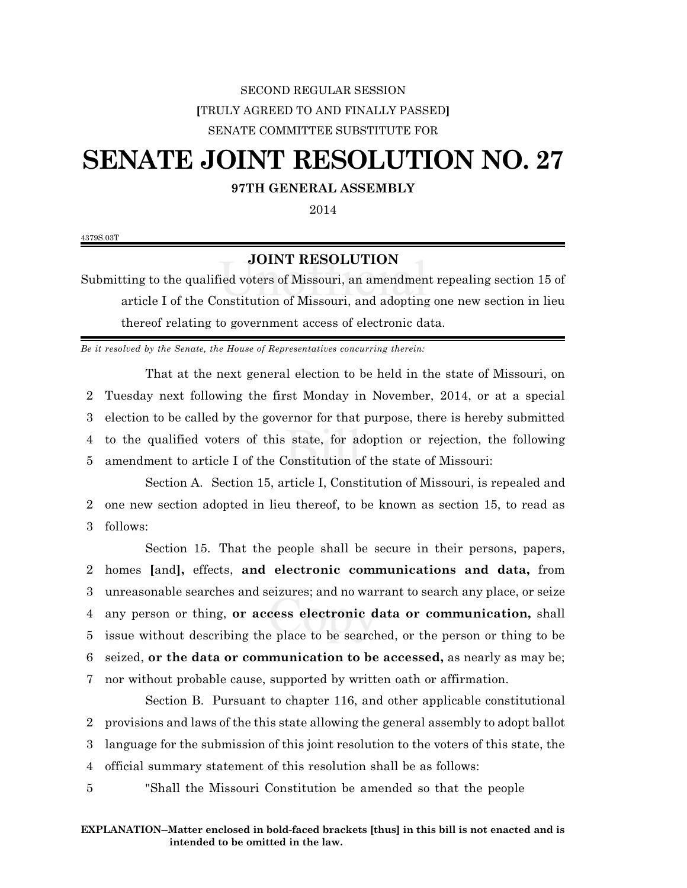## SECOND REGULAR SESSION **[**TRULY AGREED TO AND FINALLY PASSED**]** SENATE COMMITTEE SUBSTITUTE FOR

# **SENATE JOINT RESOLUTION NO. 27**

### **97TH GENERAL ASSEMBLY**

2014

4379S.03T

### **JOINT RESOLUTION**

Submitting to the qualified voters of Missouri, an amendment repealing section 15 of article I of the Constitution of Missouri, and adopting one new section in lieu thereof relating to government access of electronic data.

*Be it resolved by the Senate, the House of Representatives concurring therein:*

That at the next general election to be held in the state of Missouri, on Tuesday next following the first Monday in November, 2014, or at a special election to be called by the governor for that purpose, there is hereby submitted to the qualified voters of this state, for adoption or rejection, the following amendment to article I of the Constitution of the state of Missouri:

Section A. Section 15, article I, Constitution of Missouri, is repealed and 2 one new section adopted in lieu thereof, to be known as section 15, to read as 3 follows:

Section 15. That the people shall be secure in their persons, papers, homes **[**and**],** effects, **and electronic communications and data,** from unreasonable searches and seizures; and no warrant to search any place, or seize any person or thing, **or access electronic data or communication,** shall issue without describing the place to be searched, or the person or thing to be seized, **or the data or communication to be accessed,** as nearly as may be; nor without probable cause, supported by written oath or affirmation.

Section B. Pursuant to chapter 116, and other applicable constitutional provisions and laws of the this state allowing the general assembly to adopt ballot language for the submission of this joint resolution to the voters of this state, the official summary statement of this resolution shall be as follows:

5 "Shall the Missouri Constitution be amended so that the people